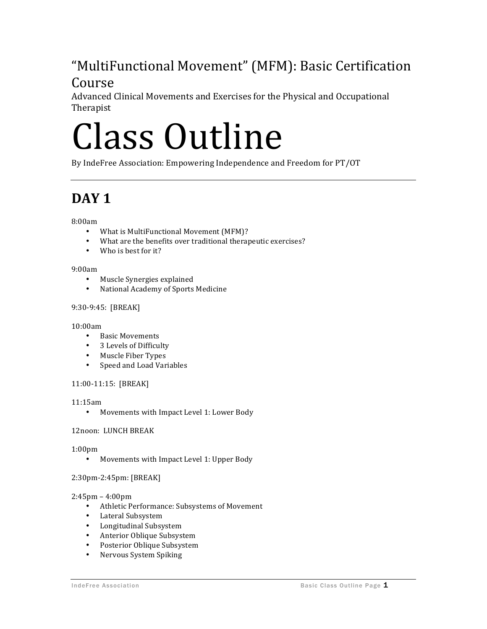## "MultiFunctional Movement" (MFM): Basic Certification

### Course

Advanced Clinical Movements and Exercises for the Physical and Occupational Therapist

# Class Outline

By IndeFree Association: Empowering Independence and Freedom for PT/OT

### **DAY** 1

8:00am

- What is MultiFunctional Movement (MFM)?
- What are the benefits over traditional therapeutic exercises?
- Who is best for it?

### 9:00am

- Muscle Synergies explained
- National Academy of Sports Medicine

### 9:30-9:45: [BREAK]

### 10:00am

- Basic Movements
- 3 Levels of Difficulty
- Muscle Fiber Types
- Speed and Load Variables

### 11:00-11:15: [BREAK]

### 11:15am

• Movements with Impact Level 1: Lower Body

### 12noon: LUNCH BREAK

### 1:00pm

• Movements with Impact Level 1: Upper Body

### 2:30pm-2:45pm: [BREAK]

### 2:45pm – 4:00pm

- Athletic Performance: Subsystems of Movement
- Lateral Subsystem
- Longitudinal Subsystem
- Anterior Oblique Subsystem
- Posterior Oblique Subsystem
- Nervous System Spiking